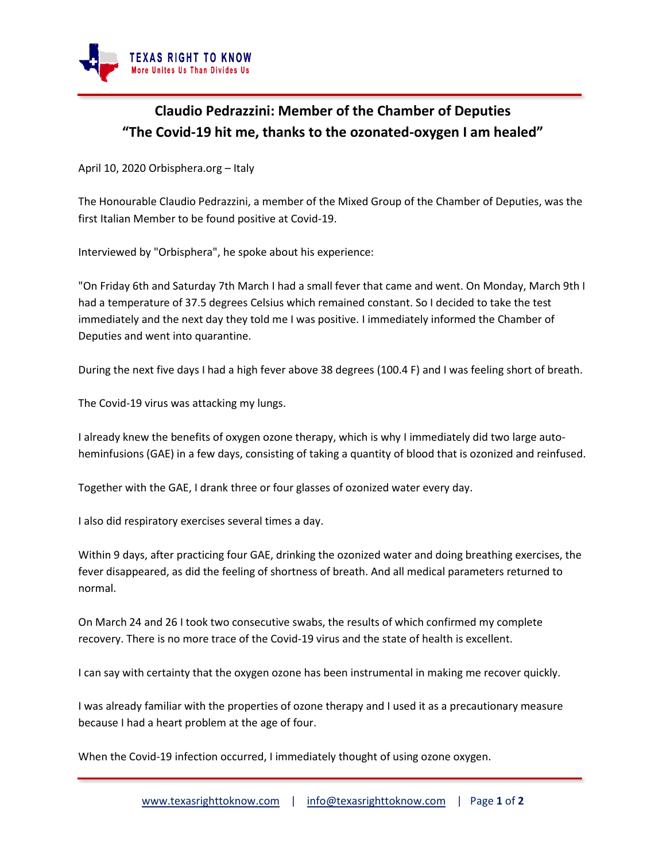

## **Claudio Pedrazzini: Member of the Chamber of Deputies "The Covid-19 hit me, thanks to the ozonated-oxygen I am healed"**

April 10, 2020 Orbisphera.org – Italy

The Honourable Claudio Pedrazzini, a member of the Mixed Group of the Chamber of Deputies, was the first Italian Member to be found positive at Covid-19.

Interviewed by "Orbisphera", he spoke about his experience:

"On Friday 6th and Saturday 7th March I had a small fever that came and went. On Monday, March 9th I had a temperature of 37.5 degrees Celsius which remained constant. So I decided to take the test immediately and the next day they told me I was positive. I immediately informed the Chamber of Deputies and went into quarantine.

During the next five days I had a high fever above 38 degrees (100.4 F) and I was feeling short of breath.

The Covid-19 virus was attacking my lungs.

I already knew the benefits of oxygen ozone therapy, which is why I immediately did two large autoheminfusions (GAE) in a few days, consisting of taking a quantity of blood that is ozonized and reinfused.

Together with the GAE, I drank three or four glasses of ozonized water every day.

I also did respiratory exercises several times a day.

Within 9 days, after practicing four GAE, drinking the ozonized water and doing breathing exercises, the fever disappeared, as did the feeling of shortness of breath. And all medical parameters returned to normal.

On March 24 and 26 I took two consecutive swabs, the results of which confirmed my complete recovery. There is no more trace of the Covid-19 virus and the state of health is excellent.

I can say with certainty that the oxygen ozone has been instrumental in making me recover quickly.

I was already familiar with the properties of ozone therapy and I used it as a precautionary measure because I had a heart problem at the age of four.

When the Covid-19 infection occurred, I immediately thought of using ozone oxygen.